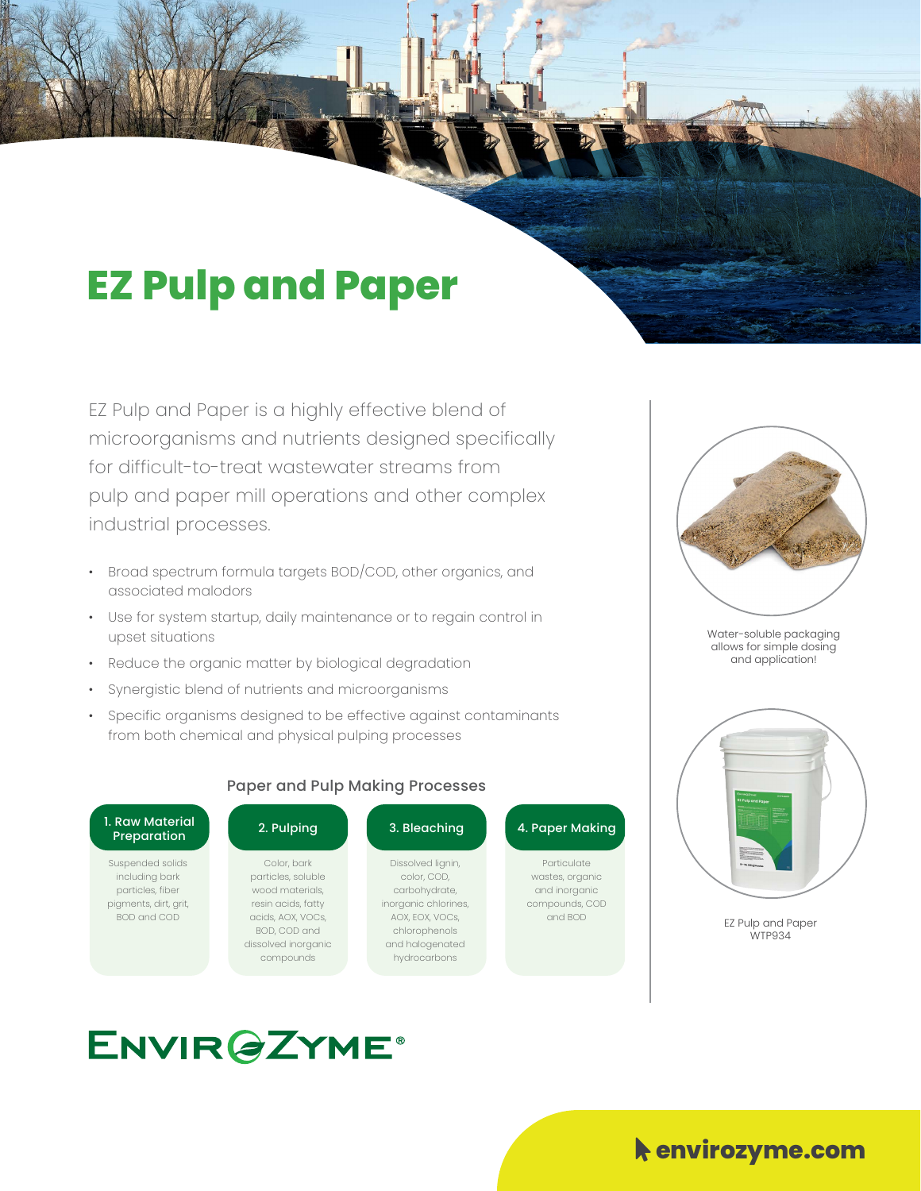## **EZ Pulp and Paper**

EZ Pulp and Paper is a highly effective blend of microorganisms and nutrients designed specifically for difficult-to-treat wastewater streams from pulp and paper mill operations and other complex industrial processes.

- Broad spectrum formula targets BOD/COD, other organics, and associated malodors
- Use for system startup, daily maintenance or to regain control in upset situations
- Reduce the organic matter by biological degradation
- Synergistic blend of nutrients and microorganisms
- Specific organisms designed to be effective against contaminants from both chemical and physical pulping processes



Water-soluble packaging allows for simple dosing and application!



EZ Pulp and Paper WTP934

### **ENVIR@ZYME®**

#### $\blacklozenge$  envirozyme.com